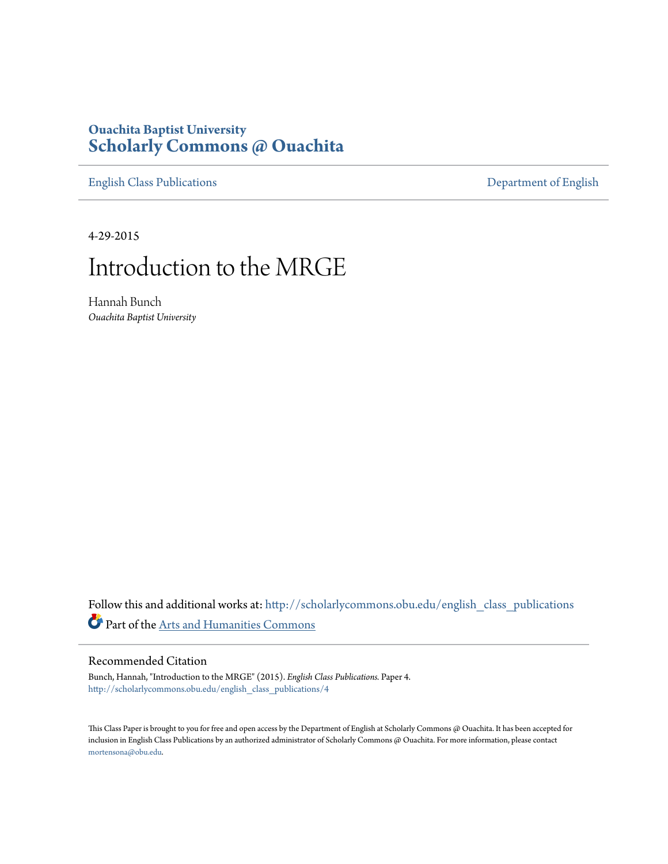# **Ouachita Baptist University [Scholarly Commons @ Ouachita](http://scholarlycommons.obu.edu?utm_source=scholarlycommons.obu.edu%2Fenglish_class_publications%2F4&utm_medium=PDF&utm_campaign=PDFCoverPages)**

[English Class Publications](http://scholarlycommons.obu.edu/english_class_publications?utm_source=scholarlycommons.obu.edu%2Fenglish_class_publications%2F4&utm_medium=PDF&utm_campaign=PDFCoverPages) [Department of English](http://scholarlycommons.obu.edu/english?utm_source=scholarlycommons.obu.edu%2Fenglish_class_publications%2F4&utm_medium=PDF&utm_campaign=PDFCoverPages)

4-29-2015

# Introduction to the MRGE

Hannah Bunch *Ouachita Baptist University*

Follow this and additional works at: [http://scholarlycommons.obu.edu/english\\_class\\_publications](http://scholarlycommons.obu.edu/english_class_publications?utm_source=scholarlycommons.obu.edu%2Fenglish_class_publications%2F4&utm_medium=PDF&utm_campaign=PDFCoverPages) Part of the [Arts and Humanities Commons](http://network.bepress.com/hgg/discipline/438?utm_source=scholarlycommons.obu.edu%2Fenglish_class_publications%2F4&utm_medium=PDF&utm_campaign=PDFCoverPages)

## Recommended Citation

Bunch, Hannah, "Introduction to the MRGE" (2015). *English Class Publications.* Paper 4. [http://scholarlycommons.obu.edu/english\\_class\\_publications/4](http://scholarlycommons.obu.edu/english_class_publications/4?utm_source=scholarlycommons.obu.edu%2Fenglish_class_publications%2F4&utm_medium=PDF&utm_campaign=PDFCoverPages)

This Class Paper is brought to you for free and open access by the Department of English at Scholarly Commons @ Ouachita. It has been accepted for inclusion in English Class Publications by an authorized administrator of Scholarly Commons @ Ouachita. For more information, please contact [mortensona@obu.edu](mailto:mortensona@obu.edu).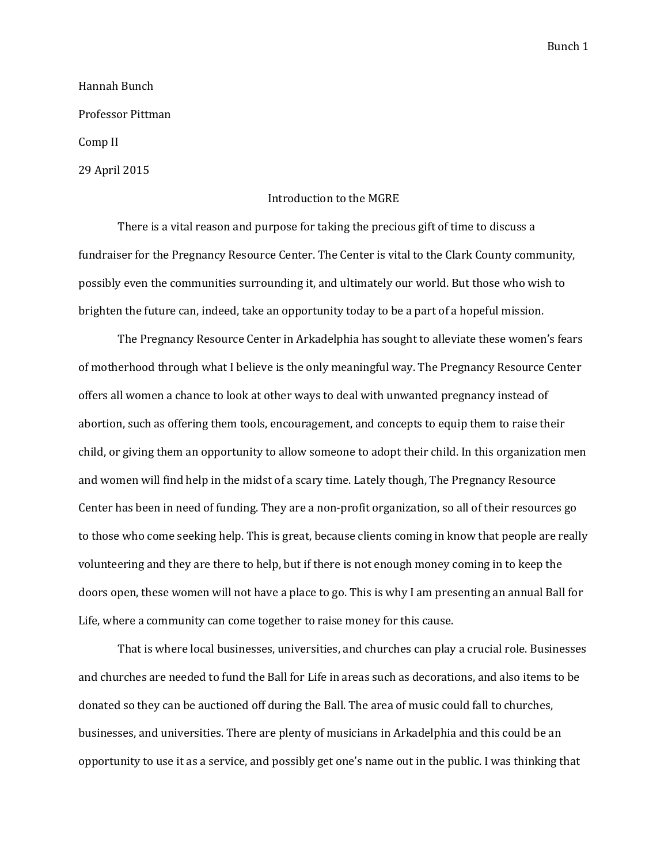Hannah Bunch Professor Pittman Comp II 29 April 2015

Introduction to the MGRE

There is a vital reason and purpose for taking the precious gift of time to discuss a fundraiser for the Pregnancy Resource Center. The Center is vital to the Clark County community, possibly even the communities surrounding it, and ultimately our world. But those who wish to brighten the future can, indeed, take an opportunity today to be a part of a hopeful mission.

The Pregnancy Resource Center in Arkadelphia has sought to alleviate these women's fears of motherhood through what I believe is the only meaningful way. The Pregnancy Resource Center offers all women a chance to look at other ways to deal with unwanted pregnancy instead of abortion, such as offering them tools, encouragement, and concepts to equip them to raise their child, or giving them an opportunity to allow someone to adopt their child. In this organization men and women will find help in the midst of a scary time. Lately though, The Pregnancy Resource Center has been in need of funding. They are a non-profit organization, so all of their resources go to those who come seeking help. This is great, because clients coming in know that people are really volunteering and they are there to help, but if there is not enough money coming in to keep the doors open, these women will not have a place to go. This is why I am presenting an annual Ball for Life, where a community can come together to raise money for this cause.

That is where local businesses, universities, and churches can play a crucial role. Businesses and churches are needed to fund the Ball for Life in areas such as decorations, and also items to be donated so they can be auctioned off during the Ball. The area of music could fall to churches, businesses, and universities. There are plenty of musicians in Arkadelphia and this could be an opportunity to use it as a service, and possibly get one's name out in the public. I was thinking that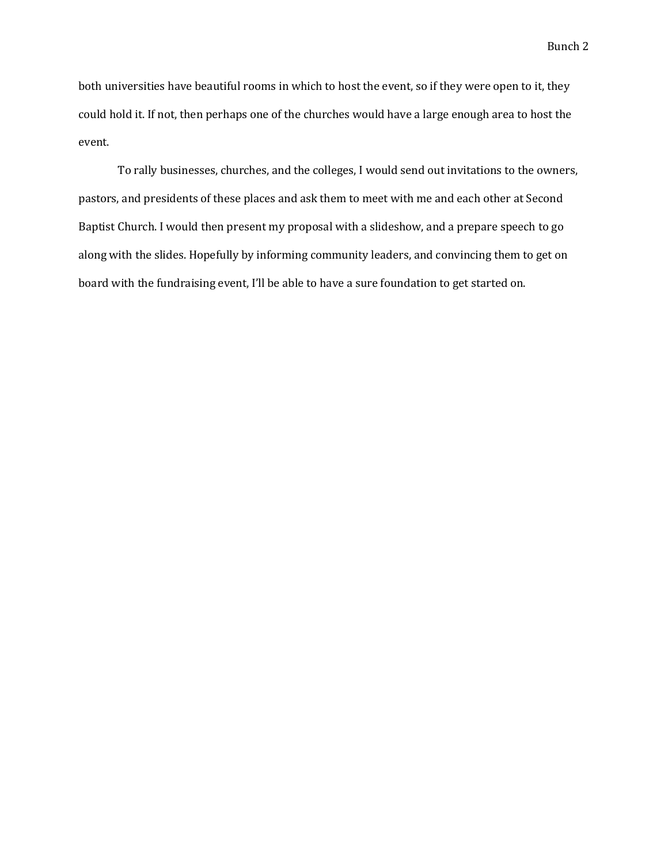both universities have beautiful rooms in which to host the event, so if they were open to it, they could hold it. If not, then perhaps one of the churches would have a large enough area to host the event.

To rally businesses, churches, and the colleges, I would send out invitations to the owners, pastors, and presidents of these places and ask them to meet with me and each other at Second Baptist Church. I would then present my proposal with a slideshow, and a prepare speech to go along with the slides. Hopefully by informing community leaders, and convincing them to get on board with the fundraising event, I'll be able to have a sure foundation to get started on.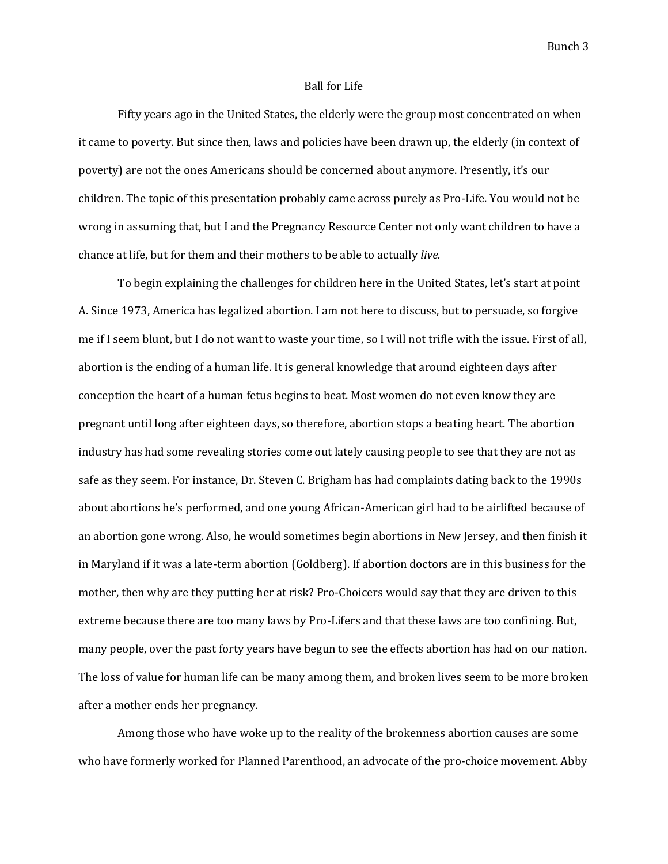#### Ball for Life

Fifty years ago in the United States, the elderly were the group most concentrated on when it came to poverty. But since then, laws and policies have been drawn up, the elderly (in context of poverty) are not the ones Americans should be concerned about anymore. Presently, it's our children. The topic of this presentation probably came across purely as Pro-Life. You would not be wrong in assuming that, but I and the Pregnancy Resource Center not only want children to have a chance at life, but for them and their mothers to be able to actually *live.*

To begin explaining the challenges for children here in the United States, let's start at point A. Since 1973, America has legalized abortion. I am not here to discuss, but to persuade, so forgive me if I seem blunt, but I do not want to waste your time, so I will not trifle with the issue. First of all, abortion is the ending of a human life. It is general knowledge that around eighteen days after conception the heart of a human fetus begins to beat. Most women do not even know they are pregnant until long after eighteen days, so therefore, abortion stops a beating heart. The abortion industry has had some revealing stories come out lately causing people to see that they are not as safe as they seem. For instance, Dr. Steven C. Brigham has had complaints dating back to the 1990s about abortions he's performed, and one young African-American girl had to be airlifted because of an abortion gone wrong. Also, he would sometimes begin abortions in New Jersey, and then finish it in Maryland if it was a late-term abortion (Goldberg). If abortion doctors are in this business for the mother, then why are they putting her at risk? Pro-Choicers would say that they are driven to this extreme because there are too many laws by Pro-Lifers and that these laws are too confining. But, many people, over the past forty years have begun to see the effects abortion has had on our nation. The loss of value for human life can be many among them, and broken lives seem to be more broken after a mother ends her pregnancy.

Among those who have woke up to the reality of the brokenness abortion causes are some who have formerly worked for Planned Parenthood, an advocate of the pro-choice movement. Abby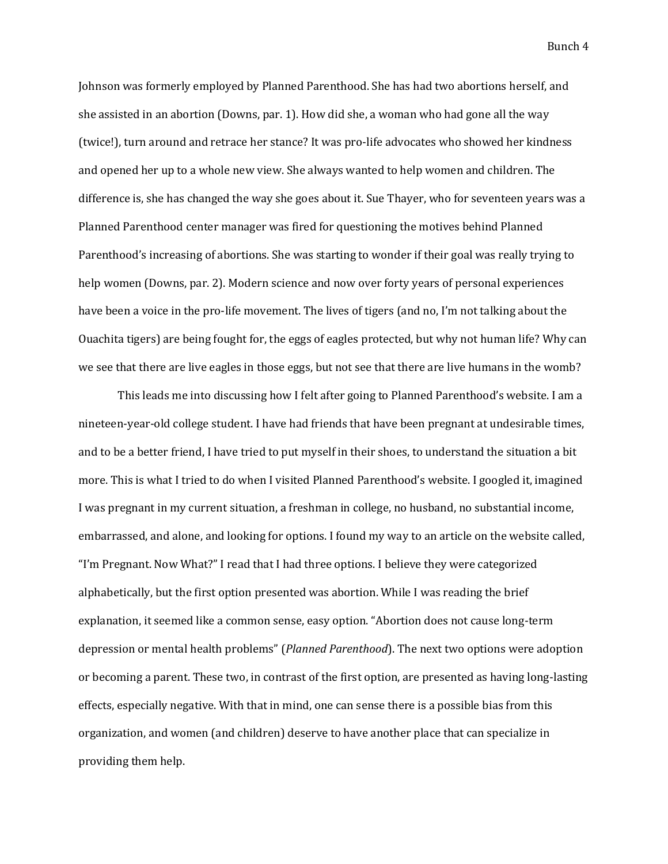Johnson was formerly employed by Planned Parenthood. She has had two abortions herself, and she assisted in an abortion (Downs, par. 1). How did she, a woman who had gone all the way (twice!), turn around and retrace her stance? It was pro-life advocates who showed her kindness and opened her up to a whole new view. She always wanted to help women and children. The difference is, she has changed the way she goes about it. Sue Thayer, who for seventeen years was a Planned Parenthood center manager was fired for questioning the motives behind Planned Parenthood's increasing of abortions. She was starting to wonder if their goal was really trying to help women (Downs, par. 2). Modern science and now over forty years of personal experiences have been a voice in the pro-life movement. The lives of tigers (and no, I'm not talking about the Ouachita tigers) are being fought for, the eggs of eagles protected, but why not human life? Why can we see that there are live eagles in those eggs, but not see that there are live humans in the womb?

This leads me into discussing how I felt after going to Planned Parenthood's website. I am a nineteen-year-old college student. I have had friends that have been pregnant at undesirable times, and to be a better friend, I have tried to put myself in their shoes, to understand the situation a bit more. This is what I tried to do when I visited Planned Parenthood's website. I googled it, imagined I was pregnant in my current situation, a freshman in college, no husband, no substantial income, embarrassed, and alone, and looking for options. I found my way to an article on the website called, "I'm Pregnant. Now What?" I read that I had three options. I believe they were categorized alphabetically, but the first option presented was abortion. While I was reading the brief explanation, it seemed like a common sense, easy option. "Abortion does not cause long-term depression or mental health problems" (*Planned Parenthood*). The next two options were adoption or becoming a parent. These two, in contrast of the first option, are presented as having long-lasting effects, especially negative. With that in mind, one can sense there is a possible bias from this organization, and women (and children) deserve to have another place that can specialize in providing them help.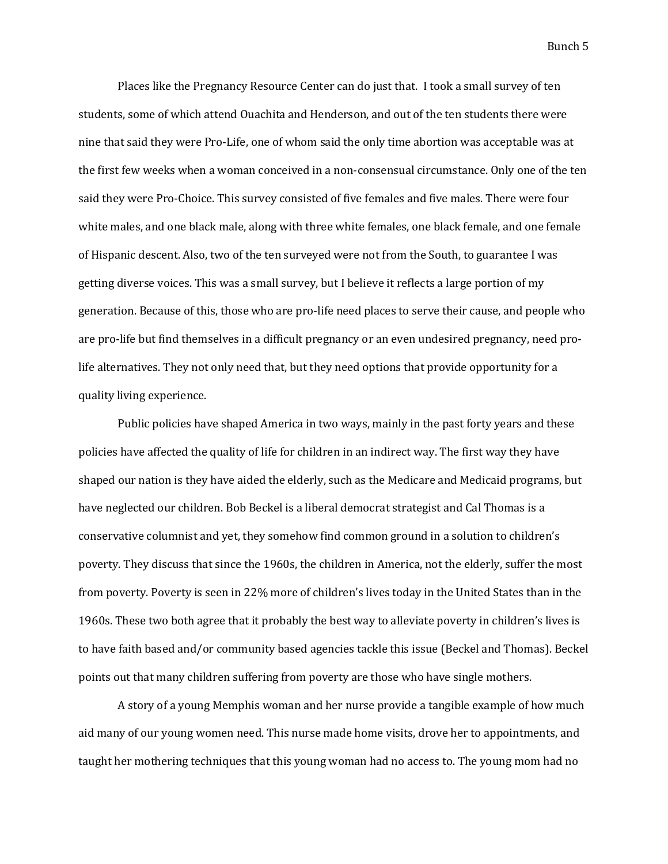Places like the Pregnancy Resource Center can do just that. I took a small survey of ten students, some of which attend Ouachita and Henderson, and out of the ten students there were nine that said they were Pro-Life, one of whom said the only time abortion was acceptable was at the first few weeks when a woman conceived in a non-consensual circumstance. Only one of the ten said they were Pro-Choice. This survey consisted of five females and five males. There were four white males, and one black male, along with three white females, one black female, and one female of Hispanic descent. Also, two of the ten surveyed were not from the South, to guarantee I was getting diverse voices. This was a small survey, but I believe it reflects a large portion of my generation. Because of this, those who are pro-life need places to serve their cause, and people who are pro-life but find themselves in a difficult pregnancy or an even undesired pregnancy, need prolife alternatives. They not only need that, but they need options that provide opportunity for a quality living experience.

Public policies have shaped America in two ways, mainly in the past forty years and these policies have affected the quality of life for children in an indirect way. The first way they have shaped our nation is they have aided the elderly, such as the Medicare and Medicaid programs, but have neglected our children. Bob Beckel is a liberal democrat strategist and Cal Thomas is a conservative columnist and yet, they somehow find common ground in a solution to children's poverty. They discuss that since the 1960s, the children in America, not the elderly, suffer the most from poverty. Poverty is seen in 22% more of children's lives today in the United States than in the 1960s. These two both agree that it probably the best way to alleviate poverty in children's lives is to have faith based and/or community based agencies tackle this issue (Beckel and Thomas). Beckel points out that many children suffering from poverty are those who have single mothers.

A story of a young Memphis woman and her nurse provide a tangible example of how much aid many of our young women need. This nurse made home visits, drove her to appointments, and taught her mothering techniques that this young woman had no access to. The young mom had no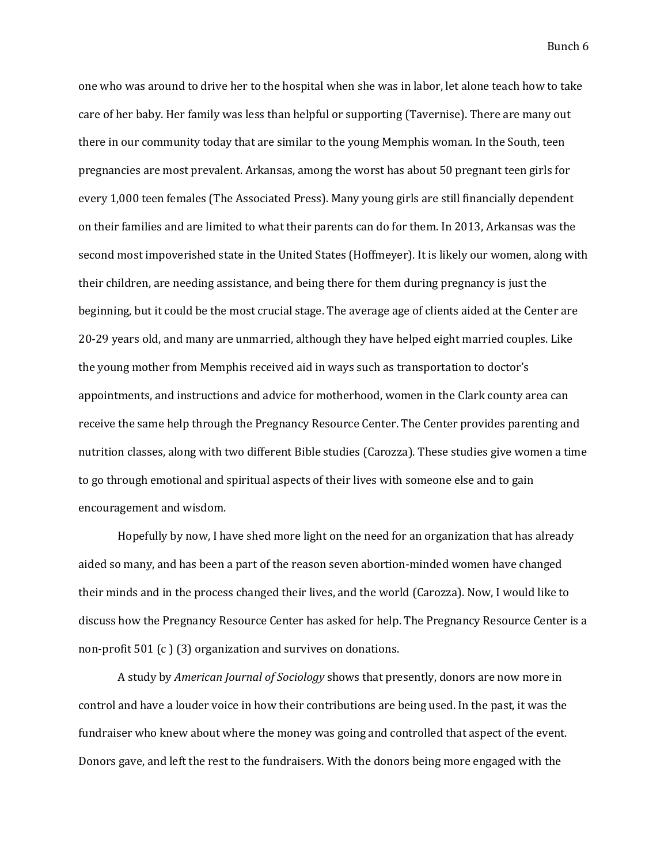one who was around to drive her to the hospital when she was in labor, let alone teach how to take care of her baby. Her family was less than helpful or supporting (Tavernise). There are many out there in our community today that are similar to the young Memphis woman. In the South, teen pregnancies are most prevalent. Arkansas, among the worst has about 50 pregnant teen girls for every 1,000 teen females (The Associated Press). Many young girls are still financially dependent on their families and are limited to what their parents can do for them. In 2013, Arkansas was the second most impoverished state in the United States (Hoffmeyer). It is likely our women, along with their children, are needing assistance, and being there for them during pregnancy is just the beginning, but it could be the most crucial stage. The average age of clients aided at the Center are 20-29 years old, and many are unmarried, although they have helped eight married couples. Like the young mother from Memphis received aid in ways such as transportation to doctor's appointments, and instructions and advice for motherhood, women in the Clark county area can receive the same help through the Pregnancy Resource Center. The Center provides parenting and nutrition classes, along with two different Bible studies (Carozza). These studies give women a time to go through emotional and spiritual aspects of their lives with someone else and to gain encouragement and wisdom.

Hopefully by now, I have shed more light on the need for an organization that has already aided so many, and has been a part of the reason seven abortion-minded women have changed their minds and in the process changed their lives, and the world (Carozza). Now, I would like to discuss how the Pregnancy Resource Center has asked for help. The Pregnancy Resource Center is a non-profit 501 (c ) (3) organization and survives on donations.

A study by *American Journal of Sociology* shows that presently, donors are now more in control and have a louder voice in how their contributions are being used. In the past, it was the fundraiser who knew about where the money was going and controlled that aspect of the event. Donors gave, and left the rest to the fundraisers. With the donors being more engaged with the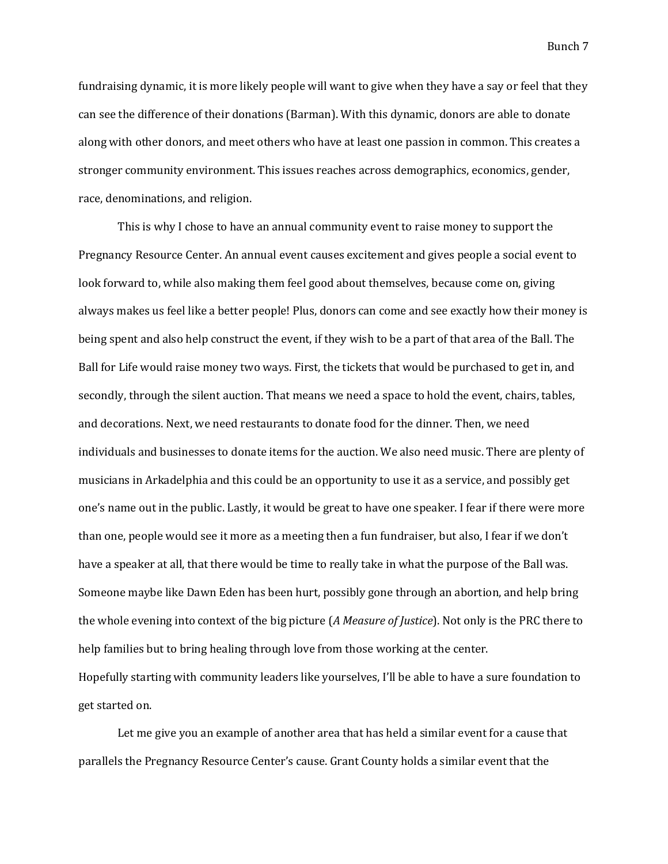fundraising dynamic, it is more likely people will want to give when they have a say or feel that they can see the difference of their donations (Barman). With this dynamic, donors are able to donate along with other donors, and meet others who have at least one passion in common. This creates a stronger community environment. This issues reaches across demographics, economics, gender, race, denominations, and religion.

This is why I chose to have an annual community event to raise money to support the Pregnancy Resource Center. An annual event causes excitement and gives people a social event to look forward to, while also making them feel good about themselves, because come on, giving always makes us feel like a better people! Plus, donors can come and see exactly how their money is being spent and also help construct the event, if they wish to be a part of that area of the Ball. The Ball for Life would raise money two ways. First, the tickets that would be purchased to get in, and secondly, through the silent auction. That means we need a space to hold the event, chairs, tables, and decorations. Next, we need restaurants to donate food for the dinner. Then, we need individuals and businesses to donate items for the auction. We also need music. There are plenty of musicians in Arkadelphia and this could be an opportunity to use it as a service, and possibly get one's name out in the public. Lastly, it would be great to have one speaker. I fear if there were more than one, people would see it more as a meeting then a fun fundraiser, but also, I fear if we don't have a speaker at all, that there would be time to really take in what the purpose of the Ball was. Someone maybe like Dawn Eden has been hurt, possibly gone through an abortion, and help bring the whole evening into context of the big picture (*A Measure of Justice*). Not only is the PRC there to help families but to bring healing through love from those working at the center. Hopefully starting with community leaders like yourselves, I'll be able to have a sure foundation to get started on.

Let me give you an example of another area that has held a similar event for a cause that parallels the Pregnancy Resource Center's cause. Grant County holds a similar event that the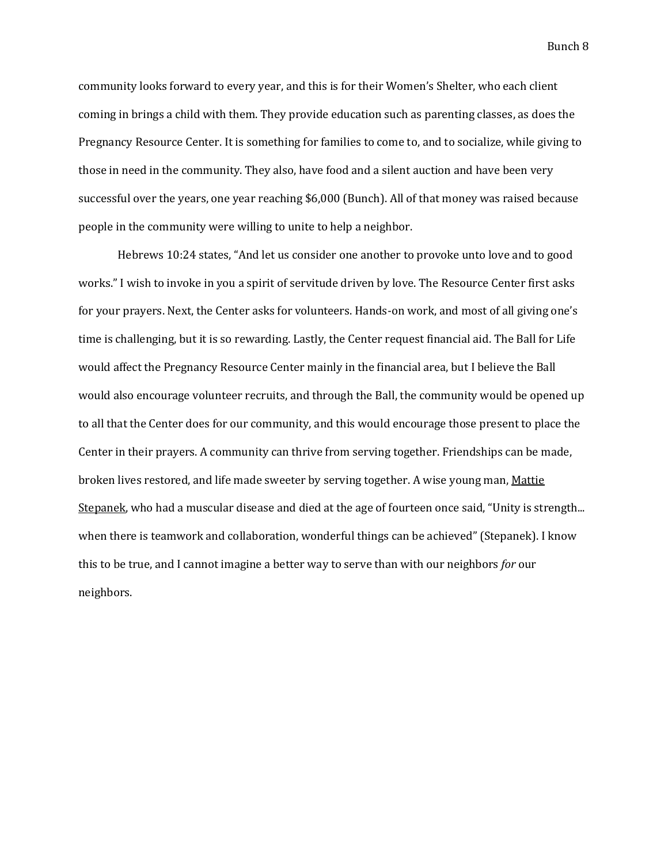community looks forward to every year, and this is for their Women's Shelter, who each client coming in brings a child with them. They provide education such as parenting classes, as does the Pregnancy Resource Center. It is something for families to come to, and to socialize, while giving to those in need in the community. They also, have food and a silent auction and have been very successful over the years, one year reaching \$6,000 (Bunch). All of that money was raised because people in the community were willing to unite to help a neighbor.

Hebrews 10:24 states, "And let us consider one another to provoke unto love and to good works." I wish to invoke in you a spirit of servitude driven by love. The Resource Center first asks for your prayers. Next, the Center asks for volunteers. Hands-on work, and most of all giving one's time is challenging, but it is so rewarding. Lastly, the Center request financial aid. The Ball for Life would affect the Pregnancy Resource Center mainly in the financial area, but I believe the Ball would also encourage volunteer recruits, and through the Ball, the community would be opened up to all that the Center does for our community, and this would encourage those present to place the Center in their prayers. A community can thrive from serving together. Friendships can be made, broken lives restored, and life made sweeter by serving together. A wise young man, Mattie [Stepanek](http://www.brainyquote.com/quotes/quotes/m/mattiestep319300.html), who had a muscular disease and died at the age of fourteen once said, "Unity is strength... when there is teamwork and collaboration, wonderful things can be achieved" (Stepanek). I know this to be true, and I cannot imagine a better way to serve than with our neighbors *for* our neighbors.